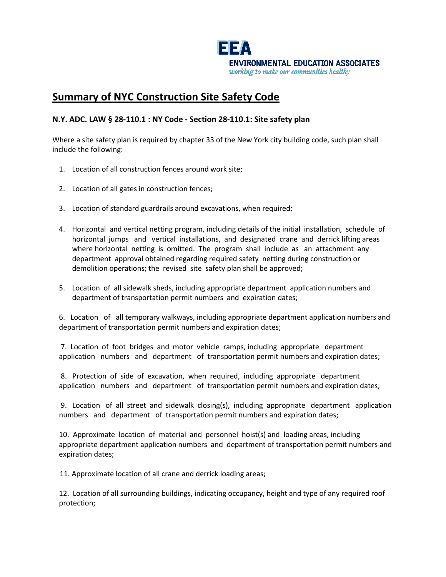

## **Summary of NYC Construction Site Safety Code**

## **N.Y. ADC. LAW § 28-110.1 : NY Code - Section 28-110.1: Site safety plan**

Where a site safety plan is required by chapter 33 of the New York city building code, such plan shall include the following:

- 1. Location of all construction fences around work site;
- 2. Location of all gates in construction fences;
- 3. Location of standard guardrails around excavations, when required;
- 4. Horizontal and vertical netting program, including details of the initial installation, schedule of horizontal jumps and vertical installations, and designated crane and derrick lifting areas where horizontal netting is omitted. The program shall include as an attachment any department approval obtained regarding required safety netting during construction or demolition operations; the revised site safety plan shall be approved;
- 5. Location of all sidewalk sheds, including appropriate department application numbers and department of transportation permit numbers and expiration dates;

6. Location of all temporary walkways, including appropriate department application numbers and department of transportation permit numbers and expiration dates;

7. Location of foot bridges and motor vehicle ramps, including appropriate department application numbers and department of transportation permit numbers and expiration dates;

8. Protection of side of excavation, when required, including appropriate department application numbers and department of transportation permit numbers and expiration dates;

9. Location of all street and sidewalk closing(s), including appropriate department application numbers and department of transportation permit numbers and expiration dates;

10. Approximate location of material and personnel hoist(s) and loading areas, including appropriate department application numbers and department of transportation permit numbers and expiration dates;

11. Approximate location of all crane and derrick loading areas;

12. Location of all surrounding buildings, indicating occupancy, height and type of any required roof protection;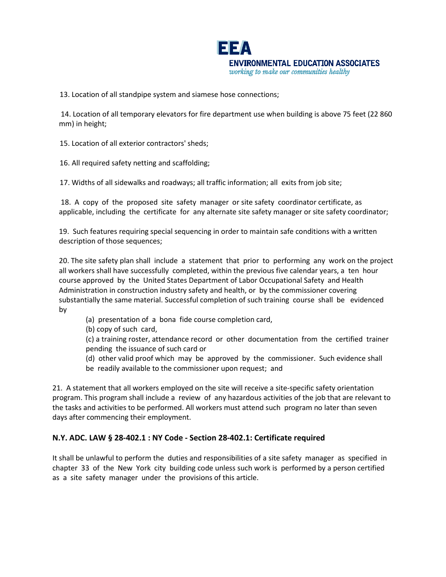

13. Location of all standpipe system and siamese hose connections;

14. Location of all temporary elevators for fire department use when building is above 75 feet (22 860 mm) in height;

15. Location of all exterior contractors' sheds;

16. All required safety netting and scaffolding;

17. Widths of all sidewalks and roadways; all traffic information; all exits from job site;

18. A copy of the proposed site safety manager or site safety coordinator certificate, as applicable, including the certificate for any alternate site safety manager or site safety coordinator;

19. Such features requiring special sequencing in order to maintain safe conditions with a written description of those sequences;

20. The site safety plan shall include a statement that prior to performing any work on the project all workers shall have successfully completed, within the previous five calendar years, a ten hour course approved by the United States Department of Labor Occupational Safety and Health Administration in construction industry safety and health, or by the commissioner covering substantially the same material. Successful completion of such training course shall be evidenced by

- (a) presentation of a bona fide course completion card,
- (b) copy of such card,

(c) a training roster, attendance record or other documentation from the certified trainer pending the issuance of such card or

(d) other valid proof which may be approved by the commissioner. Such evidence shall be readily available to the commissioner upon request; and

21. A statement that all workers employed on the site will receive a site-specific safety orientation program. This program shall include a review of any hazardous activities of the job that are relevant to the tasks and activities to be performed. All workers must attend such program no later than seven days after commencing their employment.

## **N.Y. ADC. LAW § 28-402.1 : NY Code - Section 28-402.1: Certificate required**

It shall be unlawful to perform the duties and responsibilities of a site safety manager as specified in chapter 33 of the New York city building code unless such work is performed by a person certified as a site safety manager under the provisions of this article.